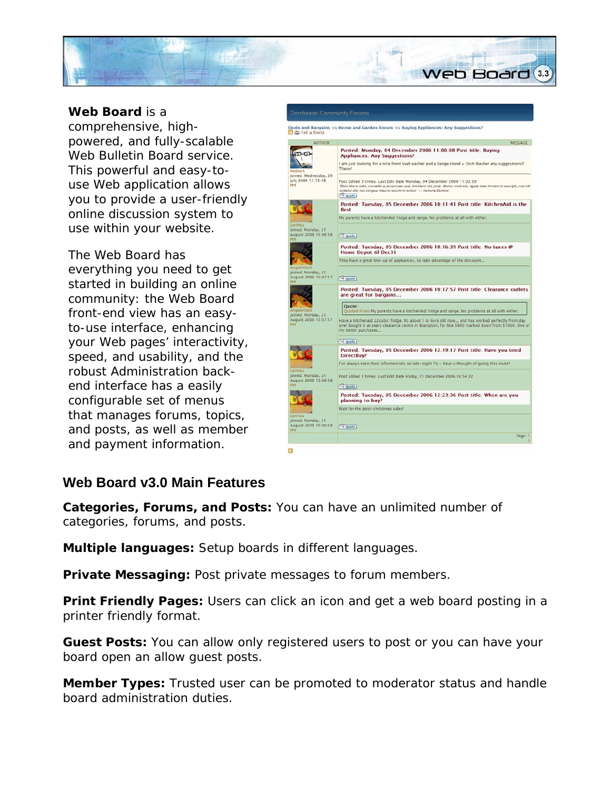

## **Web Board** is a

comprehensive, highpowered, and fully-scalable Web Bulletin Board service. This powerful and easy-touse Web application allows you to provide a user-friendly online discussion system to use within your website.

The Web Board has everything you need to get started in building an online community: the Web Board front-end view has an easyto-use interface, enhancing your Web pages' interactivity, speed, and usability, and the robust Administration backend interface has a easily configurable set of menus that manages forums, topics, and posts, as well as member and payment information.



## **Web Board v3.0 Main Features**

**Categories, Forums, and Posts:** You can have an unlimited number of categories, forums, and posts.

**Multiple languages:** Setup boards in different languages.

**Private Messaging:** Post private messages to forum members.

**Print Friendly Pages:** Users can click an icon and get a web board posting in a printer friendly format.

**Guest Posts:** You can allow only registered users to post or you can have your board open an allow guest posts.

**Member Types:** Trusted user can be promoted to moderator status and handle board administration duties.